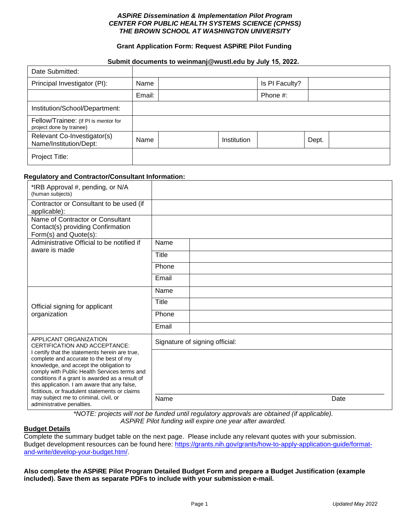## *ASPiRE Dissemination & Implementation Pilot Program CENTER FOR PUBLIC HEALTH SYSTEMS SCIENCE (CPHSS) THE BROWN SCHOOL AT WASHINGTON UNIVERSITY*

## **Grant Application Form: Request ASPiRE Pilot Funding**

### **Submit documents to weinmanj@wustl.edu by July 15, 2022.**

| Date Submitted:                                                  |        |             |                |       |  |
|------------------------------------------------------------------|--------|-------------|----------------|-------|--|
| Principal Investigator (PI):                                     | Name   |             | Is PI Faculty? |       |  |
|                                                                  | Email: |             | Phone #:       |       |  |
| Institution/School/Department:                                   |        |             |                |       |  |
| Fellow/Trainee: (If PI is mentor for<br>project done by trainee) |        |             |                |       |  |
| Relevant Co-Investigator(s)<br>Name/Institution/Dept:            | Name   | Institution |                | Dept. |  |
| Project Title:                                                   |        |             |                |       |  |

#### **Regulatory and Contractor/Consultant Information:**

| *IRB Approval #, pending, or N/A<br>(human subjects)                                                                                                                                                                                                                                                                                                                               |                                |      |  |  |  |
|------------------------------------------------------------------------------------------------------------------------------------------------------------------------------------------------------------------------------------------------------------------------------------------------------------------------------------------------------------------------------------|--------------------------------|------|--|--|--|
| Contractor or Consultant to be used (if<br>applicable):                                                                                                                                                                                                                                                                                                                            |                                |      |  |  |  |
| Name of Contractor or Consultant<br>Contact(s) providing Confirmation<br>Form(s) and Quote(s):                                                                                                                                                                                                                                                                                     |                                |      |  |  |  |
| Administrative Official to be notified if<br>aware is made                                                                                                                                                                                                                                                                                                                         | Name                           |      |  |  |  |
|                                                                                                                                                                                                                                                                                                                                                                                    | Title                          |      |  |  |  |
|                                                                                                                                                                                                                                                                                                                                                                                    | Phone                          |      |  |  |  |
|                                                                                                                                                                                                                                                                                                                                                                                    | Email                          |      |  |  |  |
|                                                                                                                                                                                                                                                                                                                                                                                    | Name                           |      |  |  |  |
|                                                                                                                                                                                                                                                                                                                                                                                    | Title                          |      |  |  |  |
| Official signing for applicant<br>organization                                                                                                                                                                                                                                                                                                                                     | Phone                          |      |  |  |  |
|                                                                                                                                                                                                                                                                                                                                                                                    | Email                          |      |  |  |  |
| APPLICANT ORGANIZATION<br>CERTIFICATION AND ACCEPTANCE:                                                                                                                                                                                                                                                                                                                            | Signature of signing official: |      |  |  |  |
| I certify that the statements herein are true,<br>complete and accurate to the best of my<br>knowledge, and accept the obligation to<br>comply with Public Health Services terms and<br>conditions if a grant is awarded as a result of<br>this application. I am aware that any false,<br>fictitious, or fraudulent statements or claims<br>may subject me to criminal, civil, or | Name                           | Date |  |  |  |
| administrative penalties.                                                                                                                                                                                                                                                                                                                                                          |                                |      |  |  |  |

*\*NOTE: projects will not be funded until regulatory approvals are obtained (if applicable). ASPiRE Pilot funding will expire one year after awarded.*

# **Budget Details**

Complete the summary budget table on the next page. Please include any relevant quotes with your submission. Budget development resources can be found here: [https://grants.nih.gov/grants/how-to-apply-application-guide/format](https://grants.nih.gov/grants/how-to-apply-application-guide/format-and-write/develop-your-budget.htm/)[and-write/develop-your-budget.htm/.](https://grants.nih.gov/grants/how-to-apply-application-guide/format-and-write/develop-your-budget.htm/) 

**Also complete the ASPiRE Pilot Program Detailed Budget Form and prepare a Budget Justification (example included). Save them as separate PDFs to include with your submission e-mail.**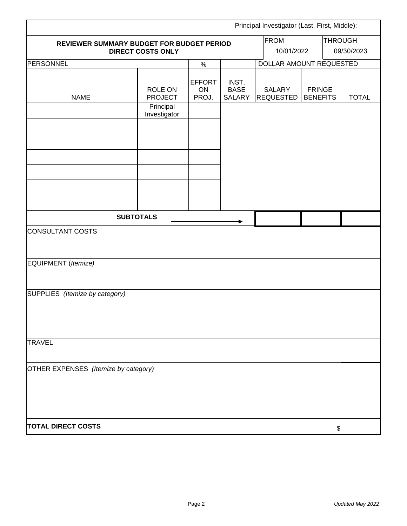| Principal Investigator (Last, First, Middle):                                        |                           |                                       |                                |                                   |                                  |    |                |  |
|--------------------------------------------------------------------------------------|---------------------------|---------------------------------------|--------------------------------|-----------------------------------|----------------------------------|----|----------------|--|
| <b>FROM</b><br>REVIEWER SUMMARY BUDGET FOR BUDGET PERIOD<br><b>DIRECT COSTS ONLY</b> |                           |                                       |                                |                                   |                                  |    | <b>THROUGH</b> |  |
|                                                                                      |                           | 10/01/2022<br>DOLLAR AMOUNT REQUESTED |                                |                                   | 09/30/2023                       |    |                |  |
| PERSONNEL                                                                            | $\%$                      |                                       |                                |                                   |                                  |    |                |  |
| <b>NAME</b>                                                                          | ROLE ON<br><b>PROJECT</b> | <b>EFFORT</b><br>ON<br>PROJ.          | INST.<br><b>BASE</b><br>SALARY | <b>SALARY</b><br><b>REQUESTED</b> | <b>FRINGE</b><br><b>BENEFITS</b> |    | <b>TOTAL</b>   |  |
|                                                                                      | Principal<br>Investigator |                                       |                                |                                   |                                  |    |                |  |
|                                                                                      |                           |                                       |                                |                                   |                                  |    |                |  |
|                                                                                      |                           |                                       |                                |                                   |                                  |    |                |  |
|                                                                                      |                           |                                       |                                |                                   |                                  |    |                |  |
|                                                                                      |                           |                                       |                                |                                   |                                  |    |                |  |
| <b>SUBTOTALS</b>                                                                     |                           |                                       |                                |                                   |                                  |    |                |  |
| CONSULTANT COSTS                                                                     |                           |                                       |                                |                                   |                                  |    |                |  |
| EQUIPMENT (Itemize)                                                                  |                           |                                       |                                |                                   |                                  |    |                |  |
| SUPPLIES (Itemize by category)                                                       |                           |                                       |                                |                                   |                                  |    |                |  |
| <b>TRAVEL</b>                                                                        |                           |                                       |                                |                                   |                                  |    |                |  |
| OTHER EXPENSES (Itemize by category)                                                 |                           |                                       |                                |                                   |                                  |    |                |  |
| <b>TOTAL DIRECT COSTS</b>                                                            |                           |                                       |                                |                                   |                                  | \$ |                |  |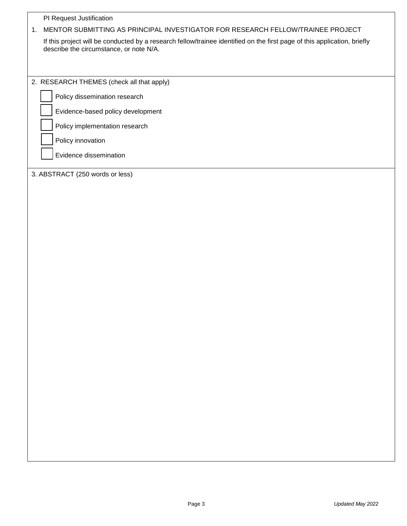| PI Request Justification                                                                                                                                            |
|---------------------------------------------------------------------------------------------------------------------------------------------------------------------|
| MENTOR SUBMITTING AS PRINCIPAL INVESTIGATOR FOR RESEARCH FELLOW/TRAINEE PROJECT<br>1.                                                                               |
| If this project will be conducted by a research fellow/trainee identified on the first page of this application, briefly<br>describe the circumstance, or note N/A. |
| 2. RESEARCH THEMES (check all that apply)<br>Policy dissemination research                                                                                          |
|                                                                                                                                                                     |
| Evidence-based policy development                                                                                                                                   |
| Policy implementation research                                                                                                                                      |
| Policy innovation                                                                                                                                                   |
| Evidence dissemination                                                                                                                                              |
| 3. ABSTRACT (250 words or less)                                                                                                                                     |
|                                                                                                                                                                     |
|                                                                                                                                                                     |
|                                                                                                                                                                     |
|                                                                                                                                                                     |
|                                                                                                                                                                     |
|                                                                                                                                                                     |
|                                                                                                                                                                     |
|                                                                                                                                                                     |
|                                                                                                                                                                     |
|                                                                                                                                                                     |
|                                                                                                                                                                     |
|                                                                                                                                                                     |
|                                                                                                                                                                     |
|                                                                                                                                                                     |
|                                                                                                                                                                     |
|                                                                                                                                                                     |
|                                                                                                                                                                     |
|                                                                                                                                                                     |
|                                                                                                                                                                     |
|                                                                                                                                                                     |
|                                                                                                                                                                     |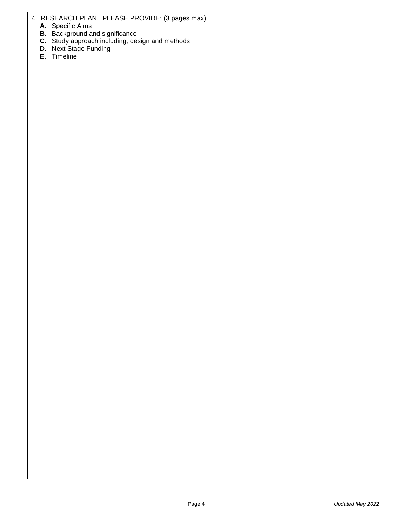4. RESEARCH PLAN. PLEASE PROVIDE: (3 pages max)

- **A.** Specific Aims
- **B.** Background and significance
- **C.** Study approach including, design and methods
- **D.** Next Stage Funding
- **E.** Timeline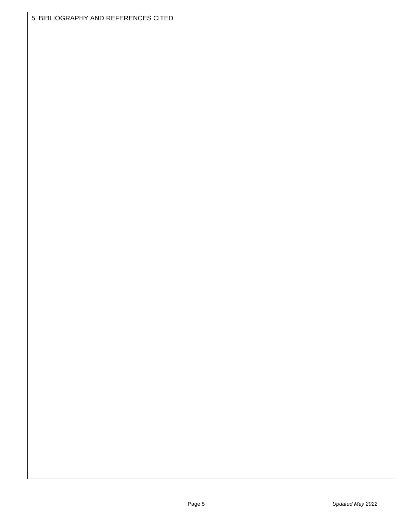5. BIBLIOGRAPHY AND REFERENCES CITED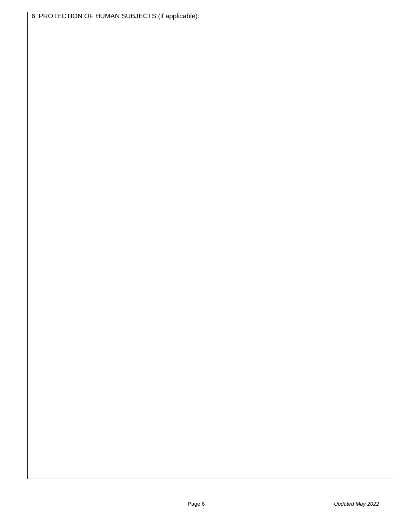6. PROTECTION OF HUMAN SUBJECTS (if applicable):